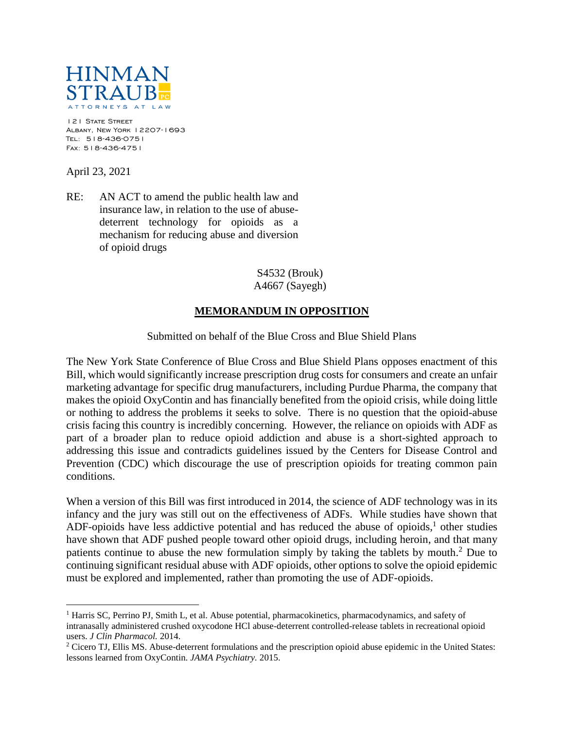

121 STATE STREET Albany, New York 12207-1693 Tel: 518-436-0751 Fax: 518-436-4751

April 23, 2021

 $\overline{a}$ 

RE: AN ACT to amend the public health law and insurance law, in relation to the use of abusedeterrent technology for opioids as a mechanism for reducing abuse and diversion of opioid drugs

> S4532 (Brouk) A4667 (Sayegh)

## **MEMORANDUM IN OPPOSITION**

Submitted on behalf of the Blue Cross and Blue Shield Plans

The New York State Conference of Blue Cross and Blue Shield Plans opposes enactment of this Bill, which would significantly increase prescription drug costs for consumers and create an unfair marketing advantage for specific drug manufacturers, including Purdue Pharma, the company that makes the opioid OxyContin and has financially benefited from the opioid crisis, while doing little or nothing to address the problems it seeks to solve. There is no question that the opioid-abuse crisis facing this country is incredibly concerning. However, the reliance on opioids with ADF as part of a broader plan to reduce opioid addiction and abuse is a short-sighted approach to addressing this issue and contradicts guidelines issued by the Centers for Disease Control and Prevention (CDC) which discourage the use of prescription opioids for treating common pain conditions.

When a version of this Bill was first introduced in 2014, the science of ADF technology was in its infancy and the jury was still out on the effectiveness of ADFs. While studies have shown that ADF-opioids have less addictive potential and has reduced the abuse of opioids, $<sup>1</sup>$  other studies</sup> have shown that ADF pushed people toward other opioid drugs, including heroin, and that many patients continue to abuse the new formulation simply by taking the tablets by mouth.<sup>2</sup> Due to continuing significant residual abuse with ADF opioids, other options to solve the opioid epidemic must be explored and implemented, rather than promoting the use of ADF-opioids.

<sup>&</sup>lt;sup>1</sup> Harris SC, Perrino PJ, Smith L, et al. Abuse potential, pharmacokinetics, pharmacodynamics, and safety of intranasally administered crushed oxycodone HCl abuse-deterrent controlled-release tablets in recreational opioid users. *J Clin Pharmacol.* 2014.

<sup>2</sup> Cicero TJ, Ellis MS. Abuse-deterrent formulations and the prescription opioid abuse epidemic in the United States: lessons learned from OxyContin. *JAMA Psychiatry.* 2015.